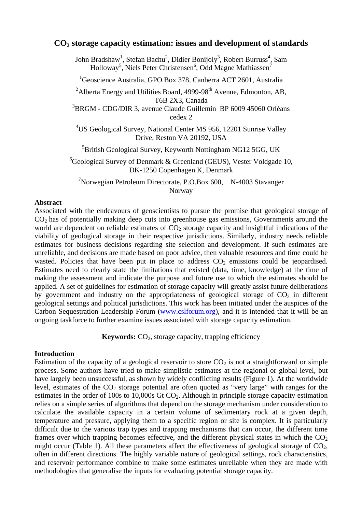# CO<sub>2</sub> storage capacity estimation: issues and development of standards

John Bradshaw<sup>1</sup>, Stefan Bachu<sup>2</sup>, Didier Bonijoly<sup>3</sup>, Robert Burruss<sup>4</sup>, Sam Holloway<sup>5</sup>, Niels Peter Christensen<sup>6</sup>, Odd Magne Mathiassen<sup>7</sup>

<sup>1</sup>Geoscience Australia, GPO Box 378, Canberra ACT 2601, Australia

<sup>2</sup> Alberta Energy and Utilities Board, 4999-98<sup>th</sup> Avenue, Edmonton, AB, T6B 2X3, Canada

3 BRGM - CDG/DIR 3, avenue Claude Guillemin BP 6009 45060 Orléans cedex 2

<sup>4</sup>US Geological Survey, National Center MS 956, 12201 Sunrise Valley Drive, Reston VA 20192, USA

<sup>5</sup>British Geological Survey, Keyworth Nottingham NG12 5GG, UK

<sup>6</sup>Geological Survey of Denmark & Greenland (GEUS), Vester Voldgade 10, DK-1250 Copenhagen K, Denmark

<sup>7</sup>Norwegian Petroleum Directorate, P.O.Box 600, N-4003 Stavanger Norway

#### **Abstract**

Associated with the endeavours of geoscientists to pursue the promise that geological storage of  $CO<sub>2</sub>$  has of potentially making deep cuts into greenhouse gas emissions, Governments around the world are dependent on reliable estimates of  $CO<sub>2</sub>$  storage capacity and insightful indications of the viability of geological storage in their respective jurisdictions. Similarly, industry needs reliable estimates for business decisions regarding site selection and development. If such estimates are unreliable, and decisions are made based on poor advice, then valuable resources and time could be wasted. Policies that have been put in place to address  $CO<sub>2</sub>$  emissions could be jeopardised. Estimates need to clearly state the limitations that existed (data, time, knowledge) at the time of making the assessment and indicate the purpose and future use to which the estimates should be applied. A set of guidelines for estimation of storage capacity will greatly assist future deliberations by government and industry on the appropriateness of geological storage of  $CO<sub>2</sub>$  in different geological settings and political jurisdictions. This work has been initiated under the auspices of the Carbon Sequestration Leadership Forum ([www.cslforum.org](http://www.cslforum.org/)), and it is intended that it will be an ongoing taskforce to further examine issues associated with storage capacity estimation.

**Keywords:** CO<sub>2</sub>, storage capacity, trapping efficiency

#### **Introduction**

Estimation of the capacity of a geological reservoir to store  $CO<sub>2</sub>$  is not a straightforward or simple process. Some authors have tried to make simplistic estimates at the regional or global level, but have largely been unsuccessful, as shown by widely conflicting results (Figure 1). At the worldwide level, estimates of the  $CO<sub>2</sub>$  storage potential are often quoted as "very large" with ranges for the estimates in the order of 100s to 10,000s Gt  $CO<sub>2</sub>$ . Although in principle storage capacity estimation relies on a simple series of algorithms that depend on the storage mechanism under consideration to calculate the available capacity in a certain volume of sedimentary rock at a given depth, temperature and pressure, applying them to a specific region or site is complex. It is particularly difficult due to the various trap types and trapping mechanisms that can occur, the different time frames over which trapping becomes effective, and the different physical states in which the  $CO<sub>2</sub>$ might occur (Table 1). All these parameters affect the effectiveness of geological storage of  $CO<sub>2</sub>$ , often in different directions. The highly variable nature of geological settings, rock characteristics, and reservoir performance combine to make some estimates unreliable when they are made with methodologies that generalise the inputs for evaluating potential storage capacity.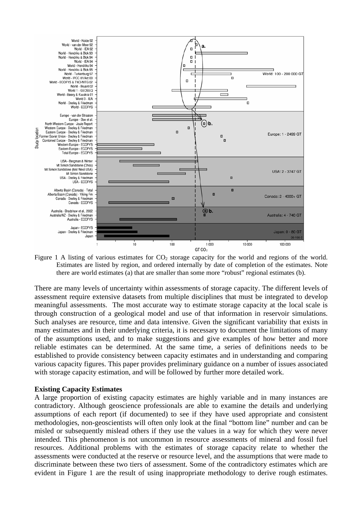

Figure 1 A listing of various estimates for  $CO<sub>2</sub>$  storage capacity for the world and regions of the world. Estimates are listed by region, and ordered internally by date of completion of the estimates. Note there are world estimates (a) that are smaller than some more "robust" regional estimates (b).

There are many levels of uncertainty within assessments of storage capacity. The different levels of assessment require extensive datasets from multiple disciplines that must be integrated to develop meaningful assessments. The most accurate way to estimate storage capacity at the local scale is through construction of a geological model and use of that information in reservoir simulations. Such analyses are resource, time and data intensive. Given the significant variability that exists in many estimates and in their underlying criteria, it is necessary to document the limitations of many of the assumptions used, and to make suggestions and give examples of how better and more reliable estimates can be determined. At the same time, a series of definitions needs to be established to provide consistency between capacity estimates and in understanding and comparing various capacity figures. This paper provides preliminary guidance on a number of issues associated with storage capacity estimation, and will be followed by further more detailed work.

## **Existing Capacity Estimates**

A large proportion of existing capacity estimates are highly variable and in many instances are contradictory. Although geoscience professionals are able to examine the details and underlying assumptions of each report (if documented) to see if they have used appropriate and consistent methodologies, non-geoscientists will often only look at the final "bottom line" number and can be misled or subsequently mislead others if they use the values in a way for which they were never intended. This phenomenon is not uncommon in resource assessments of mineral and fossil fuel resources. Additional problems with the estimates of storage capacity relate to whether the assessments were conducted at the reserve or resource level, and the assumptions that were made to discriminate between these two tiers of assessment. Some of the contradictory estimates which are evident in Figure 1 are the result of using inappropriate methodology to derive rough estimates.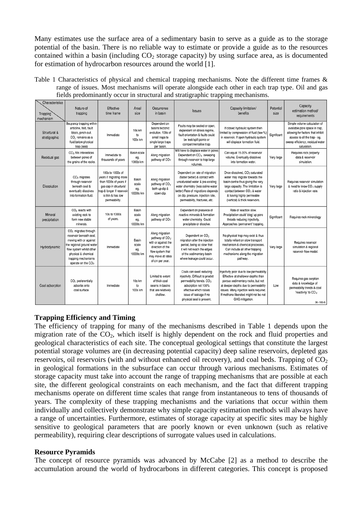Many estimates use the surface area of a sedimentary basin to serve as a guide as to the storage potential of the basin. There is no reliable way to estimate or provide a guide as to the resources contained within a basin (including  $CO<sub>2</sub>$  storage capacity) by using surface area, as is documented for estimation of hydrocarbon resources around the world [1].

Table 1 Characteristics of physical and chemical trapping mechanisms. Note the different time frames & range of issues. Most mechanisms will operate alongside each other in each trap type. Oil and gas fields predominantly occur in structural and stratigraphic trapping mechanisms.

| Characteristics<br>Trapping<br>mechanism | Nature of<br>trapping                                                                                                                                                                                                          | Effective<br>time frame                                                                                                                                            | Areal<br>size                      | Occurrence<br>in basin                                                                                                                               | <b>Issues</b>                                                                                                                                                                                                                                          | Capacity limitation/<br>benefits                                                                                                                                                                                                                                   | Potential<br>size | Capacity<br>estimation method/<br>requirements                                                                                                                                        |
|------------------------------------------|--------------------------------------------------------------------------------------------------------------------------------------------------------------------------------------------------------------------------------|--------------------------------------------------------------------------------------------------------------------------------------------------------------------|------------------------------------|------------------------------------------------------------------------------------------------------------------------------------------------------|--------------------------------------------------------------------------------------------------------------------------------------------------------------------------------------------------------------------------------------------------------|--------------------------------------------------------------------------------------------------------------------------------------------------------------------------------------------------------------------------------------------------------------------|-------------------|---------------------------------------------------------------------------------------------------------------------------------------------------------------------------------------|
| Structural &<br>stratigraphic            | Bouyancy trapping within<br>anticline, fold, fault<br>block, pinch-out.<br>CO <sub>2</sub> remains as a<br>fluid below physical<br>trap (seal)                                                                                 | Immediate                                                                                                                                                          | 10s km<br>to<br>100s km            | Dependent on<br>basins tectonic<br>evolution. 100s of<br>small traps to<br>single large traps<br>per basin.                                          | Faults may be sealed or open,<br>dependent on stress regime,<br>fault orientation & faults could<br>be leak/spill points or<br>compartmentalise trap.                                                                                                  | If closed hydraulic system then<br>limited by compression of fluid (few %)<br>in reservoir. If open hydraulic system<br>will displace formation fluid.                                                                                                             | Significant       | Simple volume calculation of<br>available pore space in trap.<br>allowing for factors that inhibit<br>access to all the trap - eg.<br>sweep efficiency, residual water<br>saturation. |
| Residual gas                             | CO <sub>2</sub> fills interestices<br>between pores of<br>the grains of the rocks.                                                                                                                                             | Immediate to<br>thousands of years                                                                                                                                 | Basin scale<br>eg.<br>1000s km     | Along migration<br>pathway of CO <sub>2</sub>                                                                                                        | Will have to displace water in pores<br>Dependent on CO <sub>2</sub> sweeping<br>through reservoir to trap large<br>volumes.                                                                                                                           | Can equal 15-20% of reservoir<br>volume. Eventually dissolves<br>into formation water.                                                                                                                                                                             | Very large        | Requires rock property<br>data & reservoir<br>simulation.                                                                                                                             |
| <b>Dissolution</b>                       | $CO2$ migrates<br>through reservoir<br>beneath seal &<br>eventually dissolves<br>into formation fluid.                                                                                                                         | 100s to 1000s of<br>years if migrating more<br>than 1000s of years if<br>gas cap in structural<br>trap & longer if reservoir<br>is thin & has low<br>permeability. | Basin<br>scale<br>ea.<br>10000s km | Along migration<br>pathway of CO <sub>2</sub><br>both up dip &<br>down dip.                                                                          | Dependent on rate of migration<br>(faster better) & contact with<br>unsaturated water & pre-existing<br>water chemistry (less saline water<br>better) Rate of migrations depends<br>on dip, pressure, injection rate,<br>permeability, fractures, etc. | Once dissolved, CO <sub>2</sub> saturated<br>water may migrate towards the<br>basin centre thus giving the very<br>large capacity. The limitation is<br>contact between CO <sub>2</sub> & water<br>& having highly permeable<br>(vertical) & thick reservoirs.     | Very large        | Requires reservoir simulation<br>& need to know CO <sub>2</sub> supply<br>ratio & injection rate.                                                                                     |
| Mineral<br>precipitation                 | CO <sub>2</sub> reacts with<br>existing rock to<br>form new stable<br>minerals.                                                                                                                                                | 10s to 1000s<br>of years.                                                                                                                                          | Basin<br>scale<br>eg.<br>10000s km | Along migration<br>pathway of CO <sub>2</sub>                                                                                                        | Dependent on presence of<br>reactive minerals & formation<br>water chemistry. Could<br>precipitate or dissolve.                                                                                                                                        | Rate of reaction slow.<br>Precipitation could 'clog' up pore<br>throats reducing injectivity.<br>Approaches 'permanent' trapping.                                                                                                                                  | Significant       | Requires rock mineralogy                                                                                                                                                              |
| Hydrodynamic                             | CO <sub>2</sub> migrates through<br>reservoir beneath seal,<br>moving with or against<br>the regional ground water<br>flow system whilst other<br>physical & chemical<br>trapping mechanisms<br>operate on the CO <sub>2</sub> | Immediate                                                                                                                                                          | Basin<br>scale<br>eg.<br>10000s km | Along migration<br>pathway of CO <sub>2</sub><br>with or against the<br>direction of the<br>flow system that<br>may move at rates<br>of cm per year. | Dependent on CO <sub>2</sub><br>migration after the injection<br>period, being so slow that<br>it will not reach the edges<br>of the sedimentary basin<br>where leakage could occur.                                                                   | No physical trap may exist & thus<br>totally reliant on slow transport<br>mechanism & chemical processes.<br>Can include all other trapping<br>mechanisms along the migration<br>pathway.                                                                          | Very large        | Requires reservoir<br>simulation & regional<br>reservoir flow model.                                                                                                                  |
| Coal adsorption                          | CO <sub>2</sub> preferentially<br>adsorbs onto<br>coal surface.                                                                                                                                                                | Immediate                                                                                                                                                          | 10s km<br>to<br>100s km            | Limited to extent<br>of thick coal<br>seams in basins<br>that are relatively<br>shallow.                                                             | Coals can swell reducing<br>injectivity. Difficult to predict<br>permeability trends. CO <sub>2</sub><br>adsorption not 100%<br>effective which raises<br>issue of leakage if no<br>physical seal is present.                                          | Injectivity poor due to low permeability.<br>Effective at shallower depths than<br>porous sedimentary rocks, but not<br>at deeper depths due to permeability<br>issues. Many injection wells required.<br>If methane liberated might not be net<br>GHG mitigation. | Low               | Requires gas sorption<br>data & knowledge of<br>permeability trends & coal<br>'reactivity' to CO <sub>2</sub><br>06-166-6                                                             |

## **Trapping Efficiency and Timing**

The efficiency of trapping for many of the mechanisms described in Table 1 depends upon the migration rate of the  $CO<sub>2</sub>$ , which itself is highly dependent on the rock and fluid properties and geological characteristics of each site. The conceptual geological settings that constitute the largest potential storage volumes are (in decreasing potential capacity) deep saline reservoirs, depleted gas reservoirs, oil reservoirs (with and without enhanced oil recovery), and coal beds. Trapping of  $CO<sub>2</sub>$ in geological formations in the subsurface can occur through various mechanisms. Estimates of storage capacity must take into account the range of trapping mechanisms that are possible at each site, the different geological constraints on each mechanism, and the fact that different trapping mechanisms operate on different time scales that range from instantaneous to tens of thousands of years. The complexity of these trapping mechanisms and the variations that occur within them individually and collectively demonstrate why simple capacity estimation methods will always have a range of uncertainties. Furthermore, estimates of storage capacity at specific sites may be highly sensitive to geological parameters that are poorly known or even unknown (such as relative permeability), requiring clear descriptions of surrogate values used in calculations.

## **Resource Pyramids**

The concept of resource pyramids was advanced by McCabe [2] as a method to describe the accumulation around the world of hydrocarbons in different categories. This concept is proposed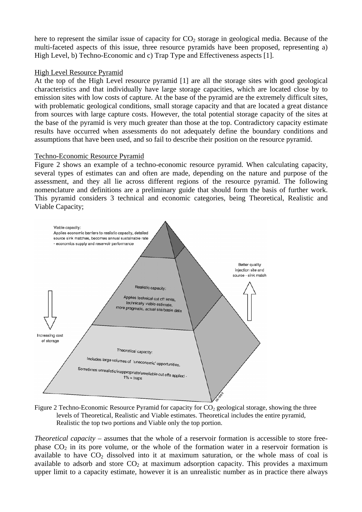here to represent the similar issue of capacity for  $CO<sub>2</sub>$  storage in geological media. Because of the multi-faceted aspects of this issue, three resource pyramids have been proposed, representing a) High Level, b) Techno-Economic and c) Trap Type and Effectiveness aspects [1].

## High Level Resource Pyramid

At the top of the High Level resource pyramid [1] are all the storage sites with good geological characteristics and that individually have large storage capacities, which are located close by to emission sites with low costs of capture. At the base of the pyramid are the extremely difficult sites, with problematic geological conditions, small storage capacity and that are located a great distance from sources with large capture costs. However, the total potential storage capacity of the sites at the base of the pyramid is very much greater than those at the top. Contradictory capacity estimate results have occurred when assessments do not adequately define the boundary conditions and assumptions that have been used, and so fail to describe their position on the resource pyramid.

# Techno-Economic Resource Pyramid

Figure 2 shows an example of a techno-economic resource pyramid. When calculating capacity, several types of estimates can and often are made, depending on the nature and purpose of the assessment, and they all lie across different regions of the resource pyramid. The following nomenclature and definitions are a preliminary guide that should form the basis of further work. This pyramid considers 3 technical and economic categories, being Theoretical, Realistic and Viable Capacity;



Figure 2 Techno-Economic Resource Pyramid for capacity for  $CO<sub>2</sub>$  geological storage, showing the three levels of Theoretical, Realistic and Viable estimates. Theoretical includes the entire pyramid, Realistic the top two portions and Viable only the top portion.

*Theoretical capacity* – assumes that the whole of a reservoir formation is accessible to store freephase  $CO<sub>2</sub>$  in its pore volume, or the whole of the formation water in a reservoir formation is available to have  $CO<sub>2</sub>$  dissolved into it at maximum saturation, or the whole mass of coal is available to adsorb and store  $CO<sub>2</sub>$  at maximum adsorption capacity. This provides a maximum upper limit to a capacity estimate, however it is an unrealistic number as in practice there always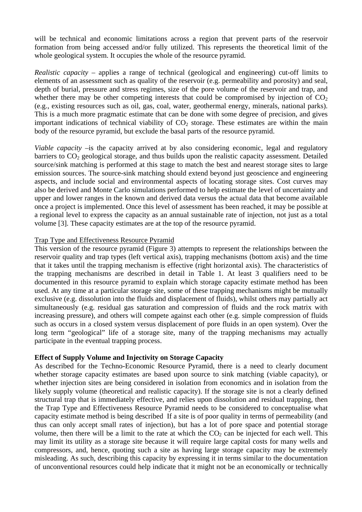will be technical and economic limitations across a region that prevent parts of the reservoir formation from being accessed and/or fully utilized. This represents the theoretical limit of the whole geological system. It occupies the whole of the resource pyramid.

*Realistic capacity* – applies a range of technical (geological and engineering) cut-off limits to elements of an assessment such as quality of the reservoir (e.g. permeability and porosity) and seal, depth of burial, pressure and stress regimes, size of the pore volume of the reservoir and trap, and whether there may be other competing interests that could be compromised by injection of  $CO<sub>2</sub>$ (e.g., existing resources such as oil, gas, coal, water, geothermal energy, minerals, national parks). This is a much more pragmatic estimate that can be done with some degree of precision, and gives important indications of technical viability of  $CO<sub>2</sub>$  storage. These estimates are within the main body of the resource pyramid, but exclude the basal parts of the resource pyramid.

*Viable capacity* –is the capacity arrived at by also considering economic, legal and regulatory barriers to  $CO<sub>2</sub>$  geological storage, and thus builds upon the realistic capacity assessment. Detailed source/sink matching is performed at this stage to match the best and nearest storage sites to large emission sources. The source-sink matching should extend beyond just geoscience and engineering aspects, and include social and environmental aspects of locating storage sites. Cost curves may also be derived and Monte Carlo simulations performed to help estimate the level of uncertainty and upper and lower ranges in the known and derived data versus the actual data that become available once a project is implemented. Once this level of assessment has been reached, it may be possible at a regional level to express the capacity as an annual sustainable rate of injection, not just as a total volume [3]. These capacity estimates are at the top of the resource pyramid.

# Trap Type and Effectiveness Resource Pyramid

This version of the resource pyramid (Figure 3) attempts to represent the relationships between the reservoir quality and trap types (left vertical axis), trapping mechanisms (bottom axis) and the time that it takes until the trapping mechanism is effective (right horizontal axis). The characteristics of the trapping mechanisms are described in detail in Table 1. At least 3 qualifiers need to be documented in this resource pyramid to explain which storage capacity estimate method has been used. At any time at a particular storage site, some of these trapping mechanisms might be mutually exclusive (e.g. dissolution into the fluids and displacement of fluids), whilst others may partially act simultaneously (e.g. residual gas saturation and compression of fluids and the rock matrix with increasing pressure), and others will compete against each other (e.g. simple compression of fluids such as occurs in a closed system versus displacement of pore fluids in an open system). Over the long term "geological" life of a storage site, many of the trapping mechanisms may actually participate in the eventual trapping process.

## **Effect of Supply Volume and Injectivity on Storage Capacity**

As described for the Techno-Economic Resource Pyramid, there is a need to clearly document whether storage capacity estimates are based upon source to sink matching (viable capacity), or whether injection sites are being considered in isolation from economics and in isolation from the likely supply volume (theoretical and realistic capacity). If the storage site is not a clearly defined structural trap that is immediately effective, and relies upon dissolution and residual trapping, then the Trap Type and Effectiveness Resource Pyramid needs to be considered to conceptualise what capacity estimate method is being described If a site is of poor quality in terms of permeability (and thus can only accept small rates of injection), but has a lot of pore space and potential storage volume, then there will be a limit to the rate at which the  $CO<sub>2</sub>$  can be injected for each well. This may limit its utility as a storage site because it will require large capital costs for many wells and compressors, and, hence, quoting such a site as having large storage capacity may be extremely misleading. As such, describing this capacity by expressing it in terms similar to the documentation of unconventional resources could help indicate that it might not be an economically or technically